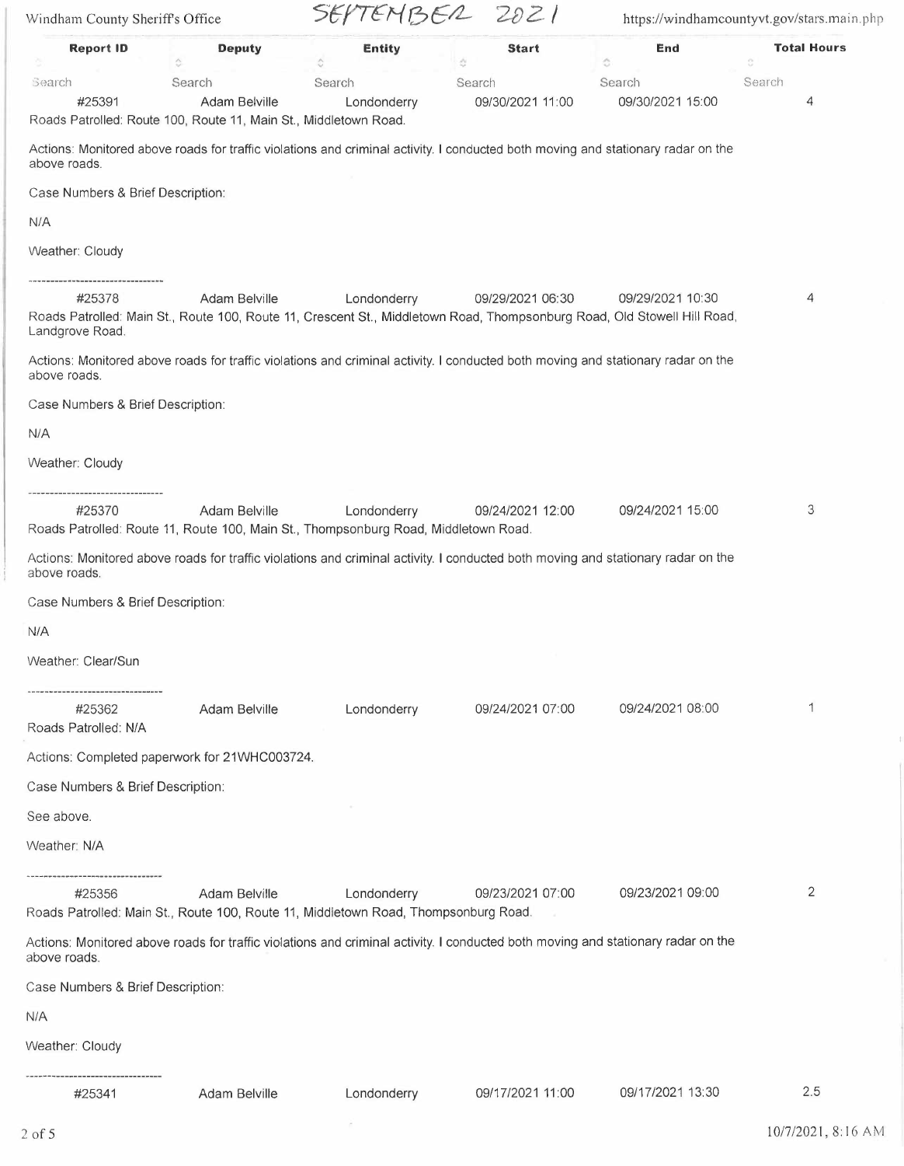| Windham County Sheriff's Office   |                                                                                                                                           | SEPTEMBER 2021                      |                   | https://windhamcountyvt.gov/stars.main.php |                          |
|-----------------------------------|-------------------------------------------------------------------------------------------------------------------------------------------|-------------------------------------|-------------------|--------------------------------------------|--------------------------|
| <b>Report ID</b>                  | <b>Deputy</b><br>$\hat{\omega}$                                                                                                           | <b>Entity</b><br>$\hat{\mathbf{C}}$ | <b>Start</b><br>ö | End<br>Ó                                   | <b>Total Hours</b><br>G. |
| Search                            | Search                                                                                                                                    | Search                              | Search            | Search                                     | Search                   |
| #25391                            | Adam Belville                                                                                                                             | Londonderry                         | 09/30/2021 11:00  | 09/30/2021 15:00                           | 4                        |
|                                   | Roads Patrolled: Route 100, Route 11, Main St., Middletown Road.                                                                          |                                     |                   |                                            |                          |
| above roads.                      | Actions: Monitored above roads for traffic violations and criminal activity. I conducted both moving and stationary radar on the          |                                     |                   |                                            |                          |
| Case Numbers & Brief Description: |                                                                                                                                           |                                     |                   |                                            |                          |
| N/A                               |                                                                                                                                           |                                     |                   |                                            |                          |
| Weather: Cloudy                   |                                                                                                                                           |                                     |                   |                                            |                          |
| ------------------------------    |                                                                                                                                           |                                     |                   |                                            |                          |
| #25378<br>Landgrove Road.         | Adam Belville<br>Roads Patrolled: Main St., Route 100, Route 11, Crescent St., Middletown Road, Thompsonburg Road, Old Stowell Hill Road, | Londonderry                         | 09/29/2021 06:30  | 09/29/2021 10:30                           | 4                        |
| above roads.                      | Actions: Monitored above roads for traffic violations and criminal activity. I conducted both moving and stationary radar on the          |                                     |                   |                                            |                          |
| Case Numbers & Brief Description: |                                                                                                                                           |                                     |                   |                                            |                          |
| N/A                               |                                                                                                                                           |                                     |                   |                                            |                          |
| Weather: Cloudy                   |                                                                                                                                           |                                     |                   |                                            |                          |
| -----------------------------     |                                                                                                                                           |                                     |                   |                                            |                          |
| #25370                            | Adam Belville<br>Roads Patrolled: Route 11, Route 100, Main St., Thompsonburg Road, Middletown Road.                                      | Londonderry                         | 09/24/2021 12:00  | 09/24/2021 15:00                           | 3                        |
| above roads.                      | Actions: Monitored above roads for traffic violations and criminal activity. I conducted both moving and stationary radar on the          |                                     |                   |                                            |                          |
| Case Numbers & Brief Description: |                                                                                                                                           |                                     |                   |                                            |                          |
| N/A                               |                                                                                                                                           |                                     |                   |                                            |                          |
| Weather: Clear/Sun                |                                                                                                                                           |                                     |                   |                                            |                          |
| #25362                            | <b>Adam Belville</b>                                                                                                                      | Londonderry                         | 09/24/2021 07:00  | 09/24/2021 08:00                           | 1                        |
| Roads Patrolled: N/A              |                                                                                                                                           |                                     |                   |                                            |                          |
|                                   | Actions: Completed paperwork for 21WHC003724.                                                                                             |                                     |                   |                                            |                          |
| Case Numbers & Brief Description: |                                                                                                                                           |                                     |                   |                                            |                          |
|                                   |                                                                                                                                           |                                     |                   |                                            |                          |
| See above.                        |                                                                                                                                           |                                     |                   |                                            |                          |
| Weather: N/A                      |                                                                                                                                           |                                     |                   |                                            |                          |
| ----------------------<br>#25356  | Adam Belville                                                                                                                             | Londonderry                         | 09/23/2021 07:00  | 09/23/2021 09:00                           | 2                        |
|                                   | Roads Patrolled: Main St., Route 100, Route 11, Middletown Road, Thompsonburg Road.                                                       |                                     |                   |                                            |                          |
| above roads.                      | Actions: Monitored above roads for traffic violations and criminal activity. I conducted both moving and stationary radar on the          |                                     |                   |                                            |                          |
| Case Numbers & Brief Description: |                                                                                                                                           |                                     |                   |                                            |                          |
| N/A                               |                                                                                                                                           |                                     |                   |                                            |                          |
| Weather: Cloudy                   |                                                                                                                                           |                                     |                   |                                            |                          |
| #25341                            | Adam Belville                                                                                                                             | Londonderry                         | 09/17/2021 11:00  | 09/17/2021 13:30                           | 2.5                      |
|                                   |                                                                                                                                           | ×                                   |                   |                                            |                          |
| $2$ of 5                          |                                                                                                                                           |                                     |                   |                                            | 10/7/2021, 8:16 AM       |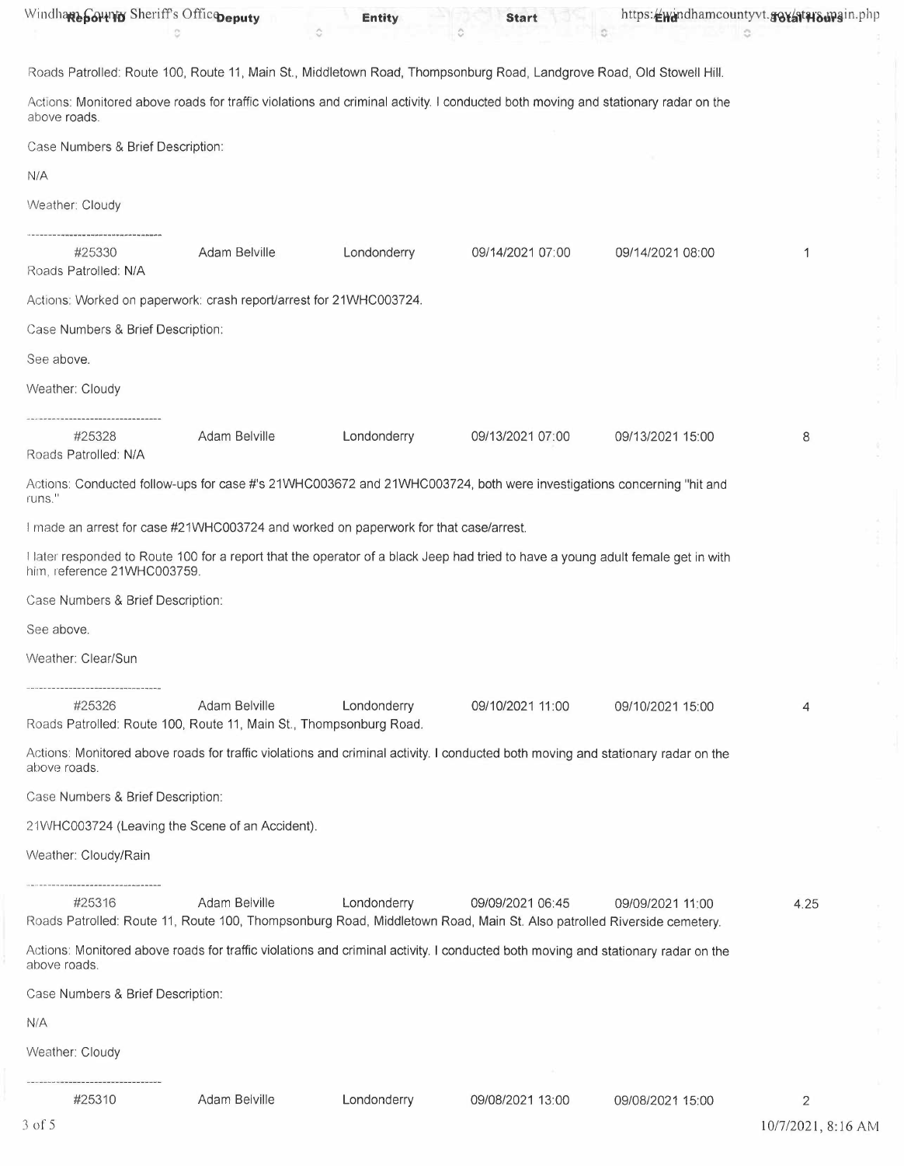| Windhare Sounty Sheriff's Officepeputy                                               |               | <b>Entity</b> | <b>Start</b>                                                                                                                              |                  | https://windhamcountyvt.gov/atwo.wgin.php<br>õ |
|--------------------------------------------------------------------------------------|---------------|---------------|-------------------------------------------------------------------------------------------------------------------------------------------|------------------|------------------------------------------------|
|                                                                                      |               |               | Roads Patrolled: Route 100, Route 11, Main St., Middletown Road, Thompsonburg Road, Landgrove Road, Old Stowell Hill.                     |                  |                                                |
| above roads.                                                                         |               |               | Actions: Monitored above roads for traffic violations and criminal activity. I conducted both moving and stationary radar on the          |                  |                                                |
| Case Numbers & Brief Description:                                                    |               |               |                                                                                                                                           |                  |                                                |
| N/A                                                                                  |               |               |                                                                                                                                           |                  |                                                |
| Weather: Cloudy                                                                      |               |               |                                                                                                                                           |                  |                                                |
| #25330<br>Roads Patrolled: N/A                                                       | Adam Belville | Londonderry   | 09/14/2021 07:00                                                                                                                          | 09/14/2021 08:00 | 1                                              |
| Actions: Worked on paperwork: crash report/arrest for 21WHC003724.                   |               |               |                                                                                                                                           |                  |                                                |
| Case Numbers & Brief Description:                                                    |               |               |                                                                                                                                           |                  |                                                |
| See above.                                                                           |               |               |                                                                                                                                           |                  |                                                |
| Weather: Cloudy                                                                      |               |               |                                                                                                                                           |                  |                                                |
| #25328<br>Roads Patrolled: N/A                                                       | Adam Belville | Londonderry   | 09/13/2021 07:00                                                                                                                          | 09/13/2021 15:00 | 8                                              |
| runs."                                                                               |               |               | Actions: Conducted follow-ups for case #'s 21WHC003672 and 21WHC003724, both were investigations concerning "hit and                      |                  |                                                |
| I made an arrest for case #21WHC003724 and worked on paperwork for that case/arrest. |               |               |                                                                                                                                           |                  |                                                |
| him, reference 21WHC003759.                                                          |               |               | I later responded to Route 100 for a report that the operator of a black Jeep had tried to have a young adult female get in with          |                  |                                                |
| Case Numbers & Brief Description:                                                    |               |               |                                                                                                                                           |                  |                                                |
| See above.                                                                           |               |               |                                                                                                                                           |                  |                                                |
| Weather: Clear/Sun                                                                   |               |               |                                                                                                                                           |                  |                                                |
| #25326<br>Roads Patrolled: Route 100, Route 11, Main St., Thompsonburg Road.         | Adam Belville | Londonderry   | 09/10/2021 11:00                                                                                                                          | 09/10/2021 15:00 | 4                                              |
| above roads.                                                                         |               |               | Actions: Monitored above roads for traffic violations and criminal activity. I conducted both moving and stationary radar on the          |                  |                                                |
| Case Numbers & Brief Description:                                                    |               |               |                                                                                                                                           |                  |                                                |
| 21WHC003724 (Leaving the Scene of an Accident).                                      |               |               |                                                                                                                                           |                  |                                                |
| Weather: Cloudy/Rain                                                                 |               |               |                                                                                                                                           |                  |                                                |
| #25316                                                                               | Adam Belville | Londonderry   | 09/09/2021 06:45<br>Roads Patrolled: Route 11, Route 100, Thompsonburg Road, Middletown Road, Main St. Also patrolled Riverside cemetery. | 09/09/2021 11:00 | 4.25                                           |
| above roads.                                                                         |               |               | Actions: Monitored above roads for traffic violations and criminal activity. I conducted both moving and stationary radar on the          |                  |                                                |
| Case Numbers & Brief Description:                                                    |               |               |                                                                                                                                           |                  |                                                |
| N/A                                                                                  |               |               |                                                                                                                                           |                  |                                                |
| Weather: Cloudy                                                                      |               |               |                                                                                                                                           |                  |                                                |
| <br>#25310                                                                           | Adam Belville | Londonderry   | 09/08/2021 13:00                                                                                                                          | 09/08/2021 15:00 | 2                                              |
| $3$ of $5$                                                                           |               |               |                                                                                                                                           |                  | 10/7/2021, 8:16 AM                             |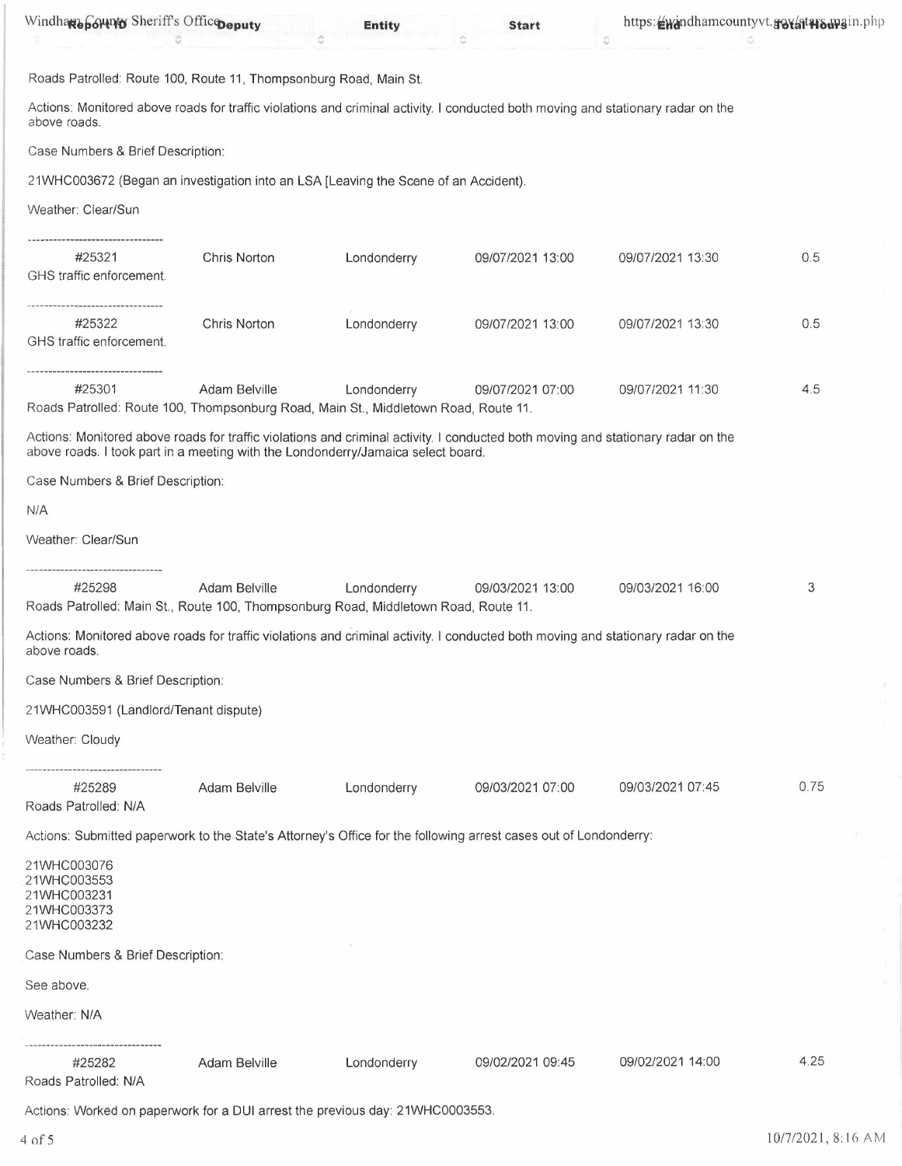| Windhare botth of Sheriff's Office peputy                                                                                                                                                                            |                      | <b>Entity</b> | <b>Start</b>     | https://windhamcountyvt.gov/atwawain.php<br>ö |      |
|----------------------------------------------------------------------------------------------------------------------------------------------------------------------------------------------------------------------|----------------------|---------------|------------------|-----------------------------------------------|------|
| Roads Patrolled: Route 100, Route 11, Thompsonburg Road, Main St.                                                                                                                                                    |                      |               |                  |                                               |      |
| Actions: Monitored above roads for traffic violations and criminal activity. I conducted both moving and stationary radar on the<br>above roads.                                                                     |                      |               |                  |                                               |      |
| Case Numbers & Brief Description:                                                                                                                                                                                    |                      |               |                  |                                               |      |
| 21WHC003672 (Began an investigation into an LSA [Leaving the Scene of an Accident).                                                                                                                                  |                      |               |                  |                                               |      |
| Weather: Clear/Sun                                                                                                                                                                                                   |                      |               |                  |                                               |      |
| #25321<br>GHS traffic enforcement.                                                                                                                                                                                   | Chris Norton         | Londonderry   | 09/07/2021 13:00 | 09/07/2021 13:30                              | 0.5  |
| #25322<br>GHS traffic enforcement.                                                                                                                                                                                   | Chris Norton         | Londonderry   | 09/07/2021 13:00 | 09/07/2021 13:30                              | 0.5  |
| #25301<br>Roads Patrolled: Route 100, Thompsonburg Road, Main St., Middletown Road, Route 11.                                                                                                                        | Adam Belville        | Londonderry   | 09/07/2021 07:00 | 09/07/2021 11:30                              | 4.5  |
| Actions: Monitored above roads for traffic violations and criminal activity. I conducted both moving and stationary radar on the<br>above roads. I took part in a meeting with the Londonderry/Jamaica select board. |                      |               |                  |                                               |      |
| Case Numbers & Brief Description:                                                                                                                                                                                    |                      |               |                  |                                               |      |
| N/A                                                                                                                                                                                                                  |                      |               |                  |                                               |      |
| Weather: Clear/Sun                                                                                                                                                                                                   |                      |               |                  |                                               |      |
| -----------------------------                                                                                                                                                                                        |                      |               |                  |                                               |      |
| #25298<br>Roads Patrolled: Main St., Route 100, Thompsonburg Road, Middletown Road, Route 11.                                                                                                                        | Adam Belville        | Londonderry   | 09/03/2021 13:00 | 09/03/2021 16:00                              | 3    |
| Actions: Monitored above roads for traffic violations and criminal activity. I conducted both moving and stationary radar on the<br>above roads.                                                                     |                      |               |                  |                                               |      |
| Case Numbers & Brief Description:                                                                                                                                                                                    |                      |               |                  |                                               |      |
| 21WHC003591 (Landlord/Tenant dispute)                                                                                                                                                                                |                      |               |                  |                                               |      |
| Weather: Cloudy                                                                                                                                                                                                      |                      |               |                  |                                               |      |
| #25289<br>Roads Patrolled: N/A                                                                                                                                                                                       | Adam Belville        | Londonderry   | 09/03/2021 07:00 | 09/03/2021 07:45                              | 0.75 |
| Actions: Submitted paperwork to the State's Attorney's Office for the following arrest cases out of Londonderry:                                                                                                     |                      |               |                  |                                               |      |
| 21WHC003076<br>21WHC003553<br>21WHC003231<br>21WHC003373<br>21WHC003232                                                                                                                                              |                      |               |                  |                                               |      |
| Case Numbers & Brief Description:                                                                                                                                                                                    |                      |               |                  |                                               |      |
| See above.                                                                                                                                                                                                           |                      |               |                  |                                               |      |
| Weather: N/A                                                                                                                                                                                                         |                      |               |                  |                                               |      |
| -----------------------<br>#25282<br>Roads Patrolled: N/A                                                                                                                                                            | <b>Adam Belville</b> | Londonderry   | 09/02/2021 09:45 | 09/02/2021 14:00                              | 4.25 |

Actions: Worked on paperwork for a DUI arrest the previous day: 21WHC0003553.